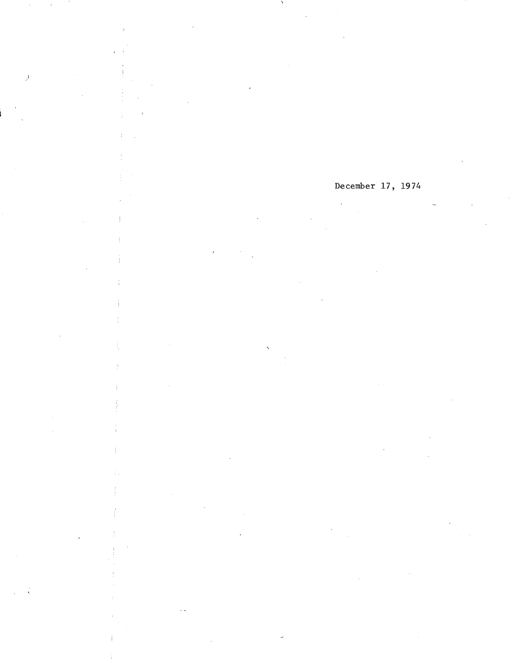# December 17, 1974

 $\frac{1}{2}$ 

÷

ł,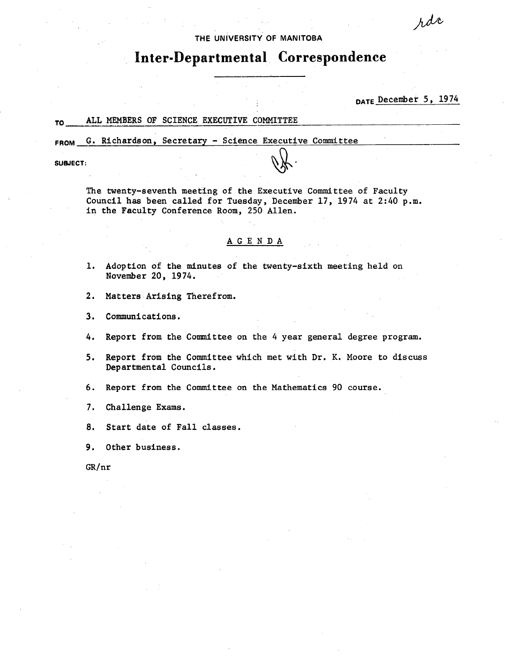### THE UNIVERSITY OF **MANITOBA**

# **Inter-Departmental Correspondence**

DATE December 5,1974

rdc

## TO ALL MEMBERS OF SCIENCE EXECUTIVE COMMITTEE

FROM G. Richardson, Secretary - Science Executive Committee

SUBJECT:

The twenty-seventh meeting of the Executive Committee of Faculty Council has been called for Tuesday, December 17, 1974 at 2:40 p.m. in the Faculty Conference Room, 250 Allen.

#### A G E N D A

- Adoption of the minutes of the twenty-sixth meeting held on  $1.$ November 20, 1974.
- $2.$ Matters Arising Therefrom.
- 3. Communications.
- Report from the Committee on the 4 year general degree program. 4.
- Report from the Committee which met with Dr. K. Moore to discuss  $5.$ Departmental Councils.
- $6.$ Report from the Committee on the Mathematics 90 course.
- 7. Challenge Exams.
- 8. Start date of Fall classes.
- Other business. 9.

GR/nr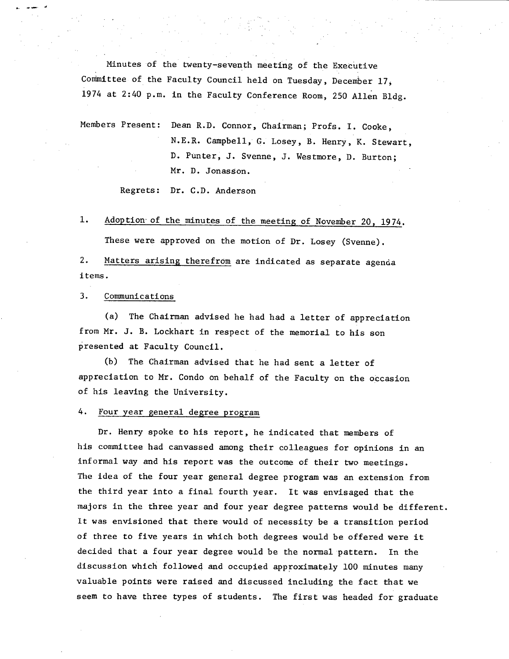Minutes of the twenty-seventh meeting of the Executive Committee of the Faculty Council held on Tuesday, December 17, 1974 at 2:40 p.m. in the Faculty Conference Room, 250 Allen Bldg.

Members Present: Dean R.D. Connor, Chairman; Profs. I. Cooke, N.E.R. Campbell, G. Losey, B. Henry, K. Stewart, D. Punter, J. Svenne, J. Westmore, D. Burton Mr. D. Jonasson.

Regrets: Dr. C.D. Anderson

1. Adoption of the minutes of the meeting of November 20, 1974.

These were approved on the motion of Dr. Losey (Svenne).

2. Matters arising therefrom are indicated as separate agenda items.

3. CommunIcations

(a) The Chairman advised he had had a letter of appreciation from Mr. J. B. Lockhart in respect of the memorial to his son presented at Faculty Council.

(b) The Chairman advised that he had sent a letter of appreciation to Mr. Condo on behalf of the Faculty on the occasion of his leaving the University.

4. four year general degree program

Dr. Henry spoke to his report, he indicated that members of his committee had canvassed among their colleagues for opinions in an informal way and his report was the outcome of their two meetings. The idea of the four year general degree program was an extension from the third year into a final fourth year. It was envisaged that the majors in the three year and four year degree patterns would be different. It was envisioned that there would of necessity be a transition period of three to five years in which both degrees would be offered were it decided that a four year degree would be the normal pattern. In the discussion which followe4 and occupied approximately 100 minutes many valuable points were raised and discussed including the fact that we seem to have three types of students. The first was headed for graduate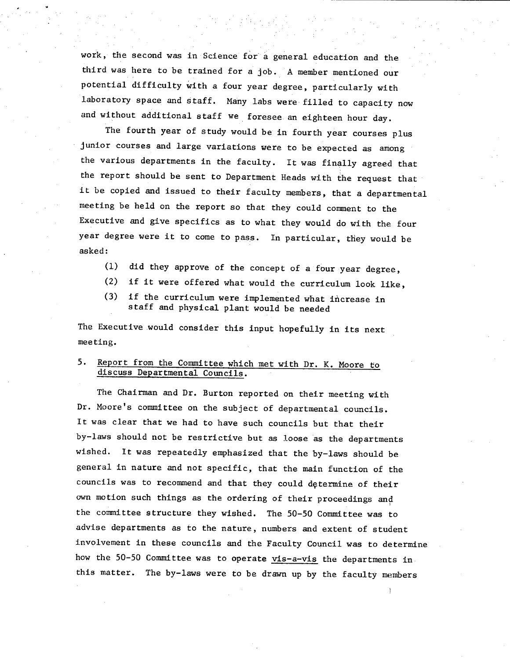work, the second was in Science for a general education and the third was here to be trained for a job. A member mentioned our potential difficulty with a four year degree, particularly with laboratory space and staff. Many labs were filled to capacity now and without additional staff we foresee an eighteen hour day.

The fourth year of Study would be in fourth year courses plus junior courses and large variations were to be expected as among the various departments in the faculty. It was finally agreed that the report should be sent to Department Heads with the request that it be copied and issued to their faculty members, that a departmental meeting be held on the report so that they could comment to the Executive and give specifics as to what they would do with the four year degree were it to come to pass. In particular, they would be asked:

- did they approve of the concept of a four year degree,
- $(2)$ if it were offered what would the curriculum look like,
- if the curriculum were implemented what increase in  $(3)$ staff and physical plant would be needed

The Executive would consider this input hopefully in its next meeting.

# 5. Report from the Committee which met with Dr. K. Moore to discuss Departmental Councils.

The Chairman and Dr. Burton reported on their meeting with Dr. Moore's committee on the subject of departmental councils. It was clear that we had to have such councils but that their by-laws should not be restrictive but as loose as the departments wished. It was repeatedly emphasized that the by-laws should be general in nature and not specific, that the main function of the councils was to recommend and that they could dçtermine of their own motion such things as the ordering of their proceedings and the committee structure they wished. The 50-50 Committee was to advise departments as to the nature, numbers and extent of student involvement in these councils and the Faculty Council was to determine how the 50-50 Committee was to operate vis-a-vis the departments in this matter. The by-laws were to be drawn up by the faculty members